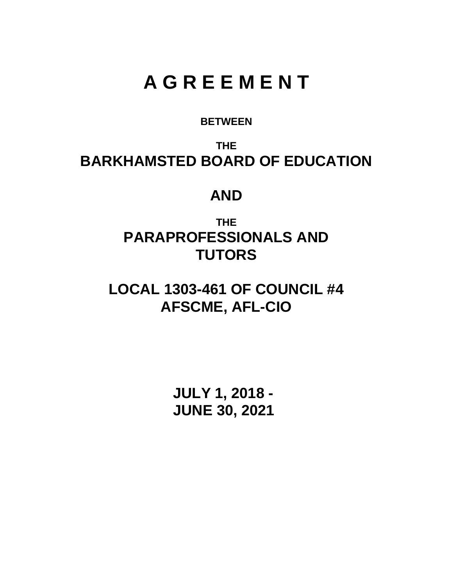# **A G R E E M E N T**

# **BETWEEN**

**THE BARKHAMSTED BOARD OF EDUCATION**

# **AND**

**THE PARAPROFESSIONALS AND TUTORS**

**LOCAL 1303-461 OF COUNCIL #4 AFSCME, AFL-CIO**

> **JULY 1, 2018 - JUNE 30, 2021**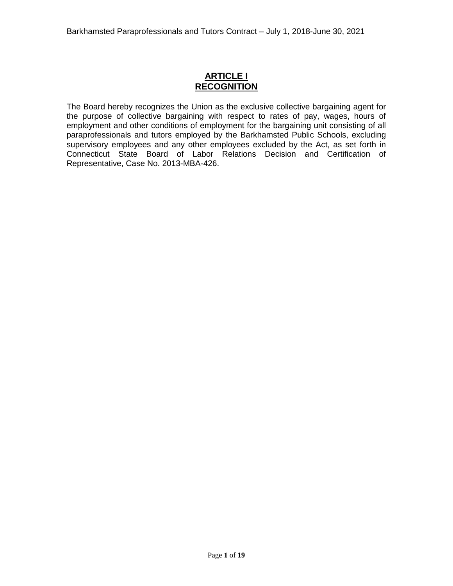# **ARTICLE I RECOGNITION**

The Board hereby recognizes the Union as the exclusive collective bargaining agent for the purpose of collective bargaining with respect to rates of pay, wages, hours of employment and other conditions of employment for the bargaining unit consisting of all paraprofessionals and tutors employed by the Barkhamsted Public Schools, excluding supervisory employees and any other employees excluded by the Act, as set forth in Connecticut State Board of Labor Relations Decision and Certification of Representative, Case No. 2013-MBA-426.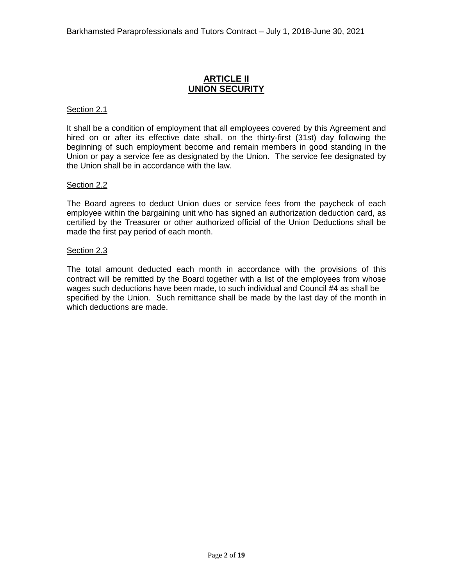# **ARTICLE II UNION SECURITY**

### Section 2.1

It shall be a condition of employment that all employees covered by this Agreement and hired on or after its effective date shall, on the thirty-first (31st) day following the beginning of such employment become and remain members in good standing in the Union or pay a service fee as designated by the Union. The service fee designated by the Union shall be in accordance with the law.

# Section 2.2

The Board agrees to deduct Union dues or service fees from the paycheck of each employee within the bargaining unit who has signed an authorization deduction card, as certified by the Treasurer or other authorized official of the Union Deductions shall be made the first pay period of each month.

#### Section 2.3

The total amount deducted each month in accordance with the provisions of this contract will be remitted by the Board together with a list of the employees from whose wages such deductions have been made, to such individual and Council #4 as shall be specified by the Union. Such remittance shall be made by the last day of the month in which deductions are made.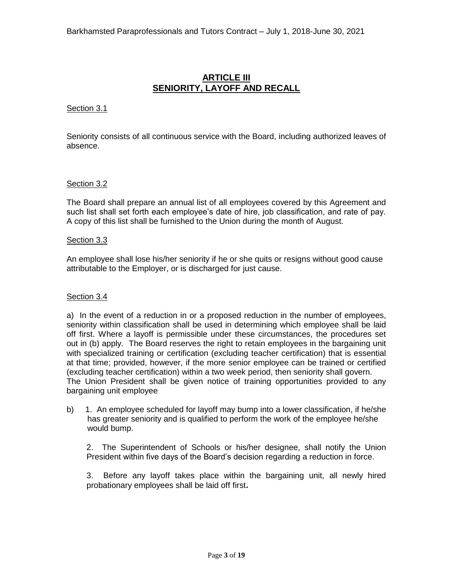# **ARTICLE III SENIORITY, LAYOFF AND RECALL**

# Section 3.1

Seniority consists of all continuous service with the Board, including authorized leaves of absence.

# Section 3.2

The Board shall prepare an annual list of all employees covered by this Agreement and such list shall set forth each employee's date of hire, job classification, and rate of pay. A copy of this list shall be furnished to the Union during the month of August.

#### Section 3.3

An employee shall lose his/her seniority if he or she quits or resigns without good cause attributable to the Employer, or is discharged for just cause.

#### Section 3.4

a) In the event of a reduction in or a proposed reduction in the number of employees, seniority within classification shall be used in determining which employee shall be laid off first. Where a layoff is permissible under these circumstances, the procedures set out in (b) apply. The Board reserves the right to retain employees in the bargaining unit with specialized training or certification (excluding teacher certification) that is essential at that time; provided, however, if the more senior employee can be trained or certified (excluding teacher certification) within a two week period, then seniority shall govern. The Union President shall be given notice of training opportunities provided to any bargaining unit employee

b) 1. An employee scheduled for layoff may bump into a lower classification, if he/she has greater seniority and is qualified to perform the work of the employee he/she would bump.

2. The Superintendent of Schools or his/her designee, shall notify the Union President within five days of the Board's decision regarding a reduction in force.

3. Before any layoff takes place within the bargaining unit, all newly hired probationary employees shall be laid off first**.**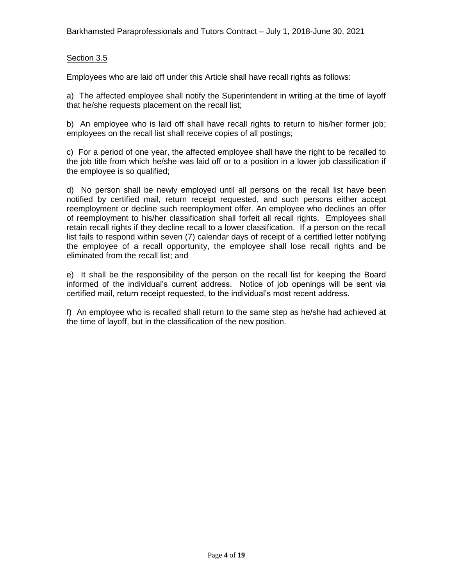# Section 3.5

Employees who are laid off under this Article shall have recall rights as follows:

a) The affected employee shall notify the Superintendent in writing at the time of layoff that he/she requests placement on the recall list;

b) An employee who is laid off shall have recall rights to return to his/her former job; employees on the recall list shall receive copies of all postings;

c) For a period of one year, the affected employee shall have the right to be recalled to the job title from which he/she was laid off or to a position in a lower job classification if the employee is so qualified;

d) No person shall be newly employed until all persons on the recall list have been notified by certified mail, return receipt requested, and such persons either accept reemployment or decline such reemployment offer. An employee who declines an offer of reemployment to his/her classification shall forfeit all recall rights. Employees shall retain recall rights if they decline recall to a lower classification. If a person on the recall list fails to respond within seven (7) calendar days of receipt of a certified letter notifying the employee of a recall opportunity, the employee shall lose recall rights and be eliminated from the recall list; and

e) It shall be the responsibility of the person on the recall list for keeping the Board informed of the individual's current address. Notice of job openings will be sent via certified mail, return receipt requested, to the individual's most recent address.

f) An employee who is recalled shall return to the same step as he/she had achieved at the time of layoff, but in the classification of the new position.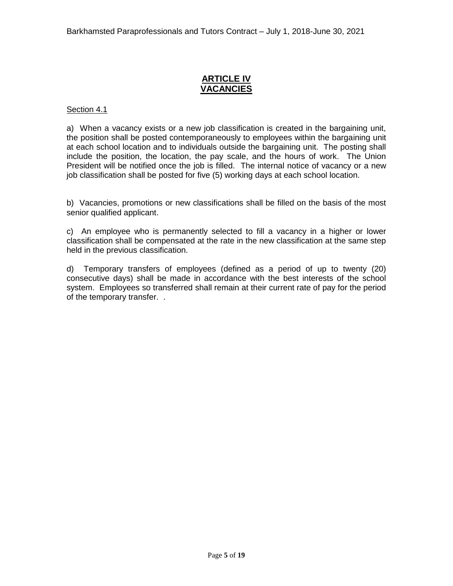# **ARTICLE IV VACANCIES**

# Section 4.1

a) When a vacancy exists or a new job classification is created in the bargaining unit, the position shall be posted contemporaneously to employees within the bargaining unit at each school location and to individuals outside the bargaining unit. The posting shall include the position, the location, the pay scale, and the hours of work. The Union President will be notified once the job is filled. The internal notice of vacancy or a new job classification shall be posted for five (5) working days at each school location.

b) Vacancies, promotions or new classifications shall be filled on the basis of the most senior qualified applicant.

c) An employee who is permanently selected to fill a vacancy in a higher or lower classification shall be compensated at the rate in the new classification at the same step held in the previous classification.

d) Temporary transfers of employees (defined as a period of up to twenty (20) consecutive days) shall be made in accordance with the best interests of the school system. Employees so transferred shall remain at their current rate of pay for the period of the temporary transfer. .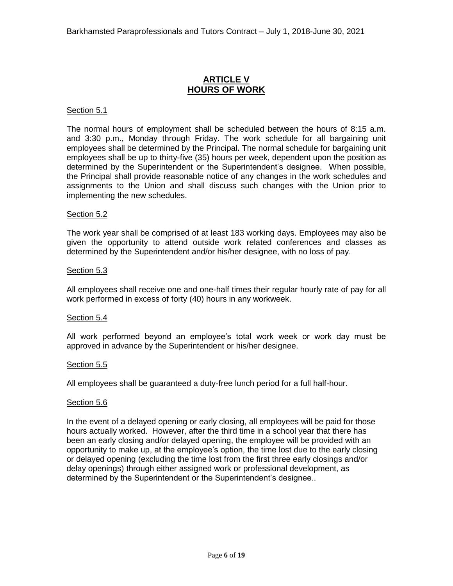# **ARTICLE V HOURS OF WORK**

#### Section 5.1

The normal hours of employment shall be scheduled between the hours of 8:15 a.m. and 3:30 p.m., Monday through Friday. The work schedule for all bargaining unit employees shall be determined by the Principal**.** The normal schedule for bargaining unit employees shall be up to thirty-five (35) hours per week, dependent upon the position as determined by the Superintendent or the Superintendent's designee. When possible, the Principal shall provide reasonable notice of any changes in the work schedules and assignments to the Union and shall discuss such changes with the Union prior to implementing the new schedules.

#### Section 5.2

The work year shall be comprised of at least 183 working days. Employees may also be given the opportunity to attend outside work related conferences and classes as determined by the Superintendent and/or his/her designee, with no loss of pay.

#### Section 5.3

All employees shall receive one and one-half times their regular hourly rate of pay for all work performed in excess of forty (40) hours in any workweek.

#### Section 5.4

All work performed beyond an employee's total work week or work day must be approved in advance by the Superintendent or his/her designee.

#### Section 5.5

All employees shall be guaranteed a duty-free lunch period for a full half-hour.

# Section 5.6

In the event of a delayed opening or early closing, all employees will be paid for those hours actually worked. However, after the third time in a school year that there has been an early closing and/or delayed opening, the employee will be provided with an opportunity to make up, at the employee's option, the time lost due to the early closing or delayed opening (excluding the time lost from the first three early closings and/or delay openings) through either assigned work or professional development, as determined by the Superintendent or the Superintendent's designee..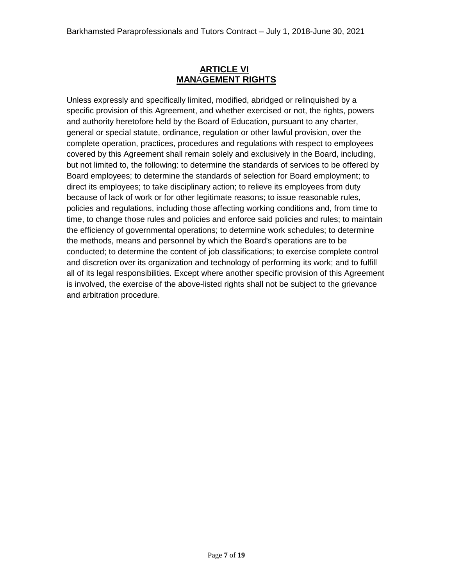# **ARTICLE VI MAN**A**GEMENT RIGHTS**

Unless expressly and specifically limited, modified, abridged or relinquished by a specific provision of this Agreement, and whether exercised or not, the rights, powers and authority heretofore held by the Board of Education, pursuant to any charter, general or special statute, ordinance, regulation or other lawful provision, over the complete operation, practices, procedures and regulations with respect to employees covered by this Agreement shall remain solely and exclusively in the Board, including, but not limited to, the following: to determine the standards of services to be offered by Board employees; to determine the standards of selection for Board employment; to direct its employees; to take disciplinary action; to relieve its employees from duty because of lack of work or for other legitimate reasons; to issue reasonable rules, policies and regulations, including those affecting working conditions and, from time to time, to change those rules and policies and enforce said policies and rules; to maintain the efficiency of governmental operations; to determine work schedules; to determine the methods, means and personnel by which the Board's operations are to be conducted; to determine the content of job classifications; to exercise complete control and discretion over its organization and technology of performing its work; and to fulfill all of its legal responsibilities. Except where another specific provision of this Agreement is involved, the exercise of the above-listed rights shall not be subject to the grievance and arbitration procedure.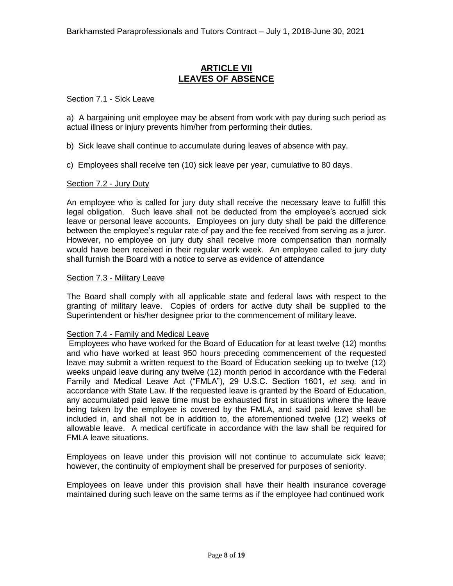# **ARTICLE VII LEAVES OF ABSENCE**

### Section 7.1 - Sick Leave

a) A bargaining unit employee may be absent from work with pay during such period as actual illness or injury prevents him/her from performing their duties.

b) Sick leave shall continue to accumulate during leaves of absence with pay.

c) Employees shall receive ten (10) sick leave per year, cumulative to 80 days.

# Section 7.2 - Jury Duty

An employee who is called for jury duty shall receive the necessary leave to fulfill this legal obligation. Such leave shall not be deducted from the employee's accrued sick leave or personal leave accounts. Employees on jury duty shall be paid the difference between the employee's regular rate of pay and the fee received from serving as a juror. However, no employee on jury duty shall receive more compensation than normally would have been received in their regular work week. An employee called to jury duty shall furnish the Board with a notice to serve as evidence of attendance

#### Section 7.3 - Military Leave

The Board shall comply with all applicable state and federal laws with respect to the granting of military leave. Copies of orders for active duty shall be supplied to the Superintendent or his/her designee prior to the commencement of military leave.

#### Section 7.4 - Family and Medical Leave

Employees who have worked for the Board of Education for at least twelve (12) months and who have worked at least 950 hours preceding commencement of the requested leave may submit a written request to the Board of Education seeking up to twelve (12) weeks unpaid leave during any twelve (12) month period in accordance with the Federal Family and Medical Leave Act ("FMLA"), 29 U.S.C. Section 1601, *et seq.* and in accordance with State Law. If the requested leave is granted by the Board of Education, any accumulated paid leave time must be exhausted first in situations where the leave being taken by the employee is covered by the FMLA, and said paid leave shall be included in, and shall not be in addition to, the aforementioned twelve (12) weeks of allowable leave. A medical certificate in accordance with the law shall be required for FMLA leave situations.

Employees on leave under this provision will not continue to accumulate sick leave; however, the continuity of employment shall be preserved for purposes of seniority.

Employees on leave under this provision shall have their health insurance coverage maintained during such leave on the same terms as if the employee had continued work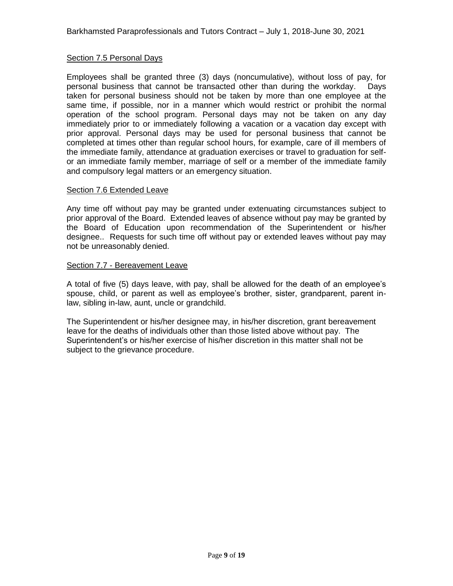# Section 7.5 Personal Days

Employees shall be granted three (3) days (noncumulative), without loss of pay, for personal business that cannot be transacted other than during the workday. Days taken for personal business should not be taken by more than one employee at the same time, if possible, nor in a manner which would restrict or prohibit the normal operation of the school program. Personal days may not be taken on any day immediately prior to or immediately following a vacation or a vacation day except with prior approval. Personal days may be used for personal business that cannot be completed at times other than regular school hours, for example, care of ill members of the immediate family, attendance at graduation exercises or travel to graduation for selfor an immediate family member, marriage of self or a member of the immediate family and compulsory legal matters or an emergency situation.

#### Section 7.6 Extended Leave

Any time off without pay may be granted under extenuating circumstances subject to prior approval of the Board. Extended leaves of absence without pay may be granted by the Board of Education upon recommendation of the Superintendent or his/her designee.. Requests for such time off without pay or extended leaves without pay may not be unreasonably denied.

# Section 7.7 - Bereavement Leave

A total of five (5) days leave, with pay, shall be allowed for the death of an employee's spouse, child, or parent as well as employee's brother, sister, grandparent, parent inlaw, sibling in-law, aunt, uncle or grandchild.

The Superintendent or his/her designee may, in his/her discretion, grant bereavement leave for the deaths of individuals other than those listed above without pay. The Superintendent's or his/her exercise of his/her discretion in this matter shall not be subject to the grievance procedure.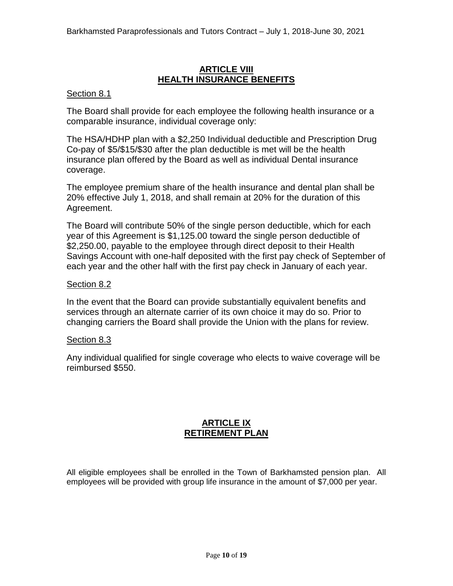# **ARTICLE VIII HEALTH INSURANCE BENEFITS**

# Section 8.1

The Board shall provide for each employee the following health insurance or a comparable insurance, individual coverage only:

The HSA/HDHP plan with a \$2,250 Individual deductible and Prescription Drug Co-pay of \$5/\$15/\$30 after the plan deductible is met will be the health insurance plan offered by the Board as well as individual Dental insurance coverage.

The employee premium share of the health insurance and dental plan shall be 20% effective July 1, 2018, and shall remain at 20% for the duration of this Agreement.

The Board will contribute 50% of the single person deductible, which for each year of this Agreement is \$1,125.00 toward the single person deductible of \$2,250.00, payable to the employee through direct deposit to their Health Savings Account with one-half deposited with the first pay check of September of each year and the other half with the first pay check in January of each year.

# Section 8.2

In the event that the Board can provide substantially equivalent benefits and services through an alternate carrier of its own choice it may do so. Prior to changing carriers the Board shall provide the Union with the plans for review.

# Section 8.3

Any individual qualified for single coverage who elects to waive coverage will be reimbursed \$550.

# **ARTICLE IX RETIREMENT PLAN**

All eligible employees shall be enrolled in the Town of Barkhamsted pension plan. All employees will be provided with group life insurance in the amount of \$7,000 per year.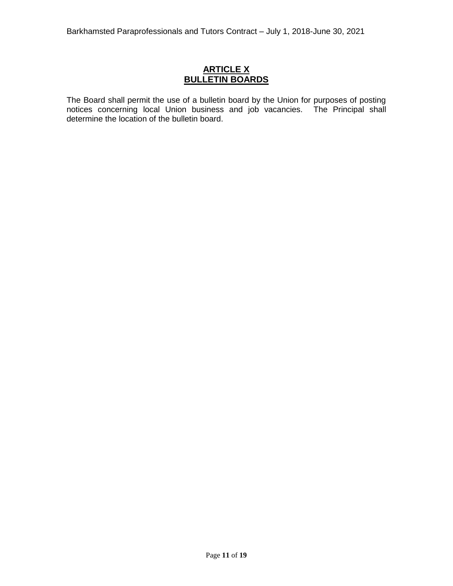# **ARTICLE X BULLETIN BOARDS**

The Board shall permit the use of a bulletin board by the Union for purposes of posting notices concerning local Union business and job vacancies. The Principal shall determine the location of the bulletin board.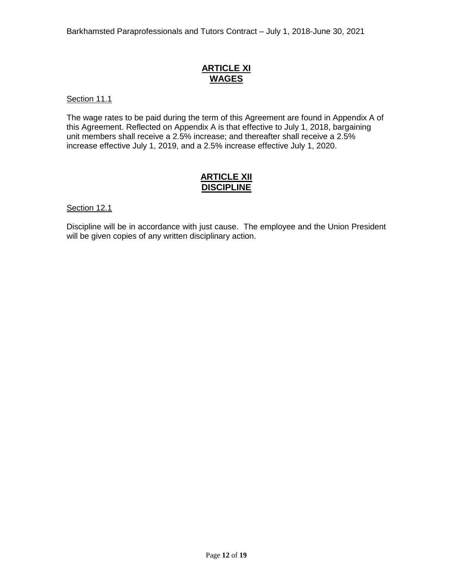# **ARTICLE XI WAGES**

# Section 11.1

The wage rates to be paid during the term of this Agreement are found in Appendix A of this Agreement. Reflected on Appendix A is that effective to July 1, 2018, bargaining unit members shall receive a 2.5% increase; and thereafter shall receive a 2.5% increase effective July 1, 2019, and a 2.5% increase effective July 1, 2020.

# **ARTICLE XII DISCIPLINE**

#### Section 12.1

Discipline will be in accordance with just cause. The employee and the Union President will be given copies of any written disciplinary action.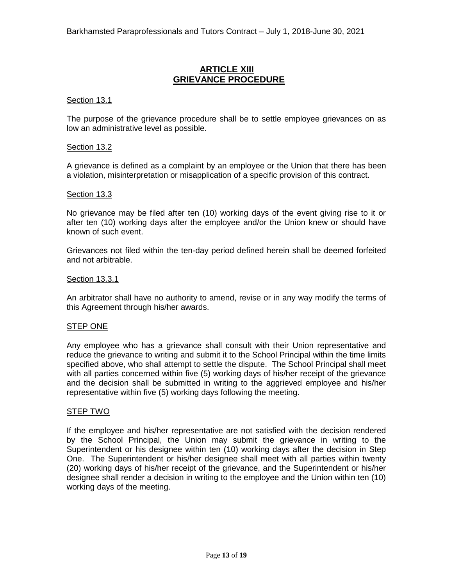# **ARTICLE XIII GRIEVANCE PROCEDURE**

#### Section 13.1

The purpose of the grievance procedure shall be to settle employee grievances on as low an administrative level as possible.

#### Section 13.2

A grievance is defined as a complaint by an employee or the Union that there has been a violation, misinterpretation or misapplication of a specific provision of this contract.

#### Section 13.3

No grievance may be filed after ten (10) working days of the event giving rise to it or after ten (10) working days after the employee and/or the Union knew or should have known of such event.

Grievances not filed within the ten-day period defined herein shall be deemed forfeited and not arbitrable.

# Section 13.3.1

An arbitrator shall have no authority to amend, revise or in any way modify the terms of this Agreement through his/her awards.

#### STEP ONE

Any employee who has a grievance shall consult with their Union representative and reduce the grievance to writing and submit it to the School Principal within the time limits specified above, who shall attempt to settle the dispute. The School Principal shall meet with all parties concerned within five (5) working days of his/her receipt of the grievance and the decision shall be submitted in writing to the aggrieved employee and his/her representative within five (5) working days following the meeting.

#### STEP TWO

If the employee and his/her representative are not satisfied with the decision rendered by the School Principal, the Union may submit the grievance in writing to the Superintendent or his designee within ten (10) working days after the decision in Step One. The Superintendent or his/her designee shall meet with all parties within twenty (20) working days of his/her receipt of the grievance, and the Superintendent or his/her designee shall render a decision in writing to the employee and the Union within ten (10) working days of the meeting.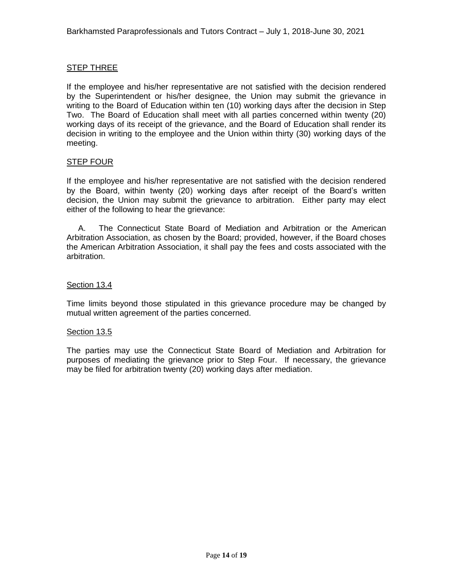# STEP THREE

If the employee and his/her representative are not satisfied with the decision rendered by the Superintendent or his/her designee, the Union may submit the grievance in writing to the Board of Education within ten (10) working days after the decision in Step Two. The Board of Education shall meet with all parties concerned within twenty (20) working days of its receipt of the grievance, and the Board of Education shall render its decision in writing to the employee and the Union within thirty (30) working days of the meeting.

# STEP FOUR

If the employee and his/her representative are not satisfied with the decision rendered by the Board, within twenty (20) working days after receipt of the Board's written decision, the Union may submit the grievance to arbitration. Either party may elect either of the following to hear the grievance:

 A. The Connecticut State Board of Mediation and Arbitration or the American Arbitration Association, as chosen by the Board; provided, however, if the Board choses the American Arbitration Association, it shall pay the fees and costs associated with the arbitration.

# Section 13.4

Time limits beyond those stipulated in this grievance procedure may be changed by mutual written agreement of the parties concerned.

#### Section 13.5

The parties may use the Connecticut State Board of Mediation and Arbitration for purposes of mediating the grievance prior to Step Four. If necessary, the grievance may be filed for arbitration twenty (20) working days after mediation.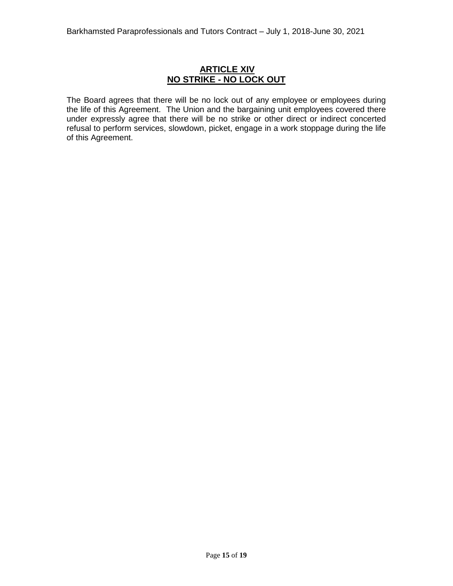# **ARTICLE XIV NO STRIKE - NO LOCK OUT**

The Board agrees that there will be no lock out of any employee or employees during the life of this Agreement. The Union and the bargaining unit employees covered there under expressly agree that there will be no strike or other direct or indirect concerted refusal to perform services, slowdown, picket, engage in a work stoppage during the life of this Agreement.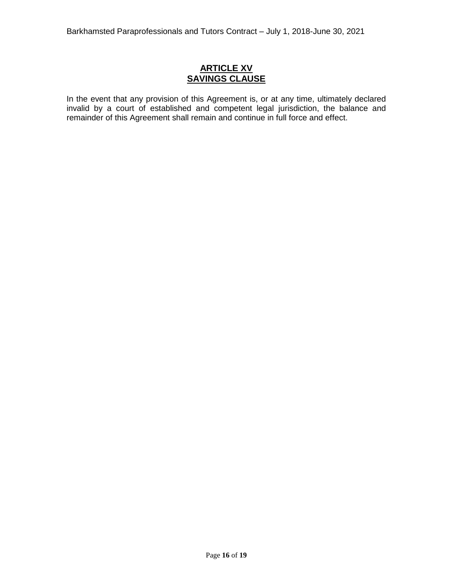# **ARTICLE XV SAVINGS CLAUSE**

In the event that any provision of this Agreement is, or at any time, ultimately declared invalid by a court of established and competent legal jurisdiction, the balance and remainder of this Agreement shall remain and continue in full force and effect.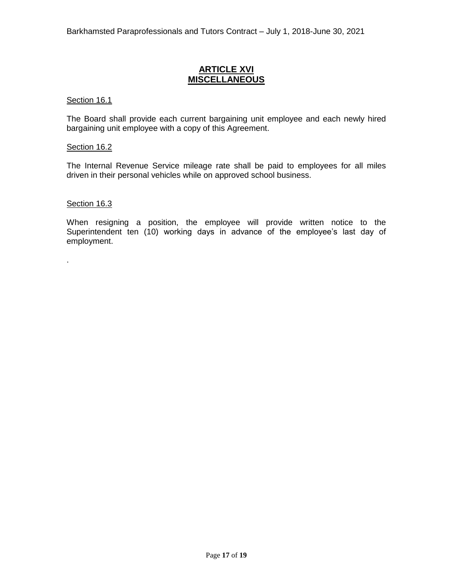# **ARTICLE XVI MISCELLANEOUS**

### Section 16.1

The Board shall provide each current bargaining unit employee and each newly hired bargaining unit employee with a copy of this Agreement.

### Section 16.2

The Internal Revenue Service mileage rate shall be paid to employees for all miles driven in their personal vehicles while on approved school business.

# Section 16.3

.

When resigning a position, the employee will provide written notice to the Superintendent ten (10) working days in advance of the employee's last day of employment.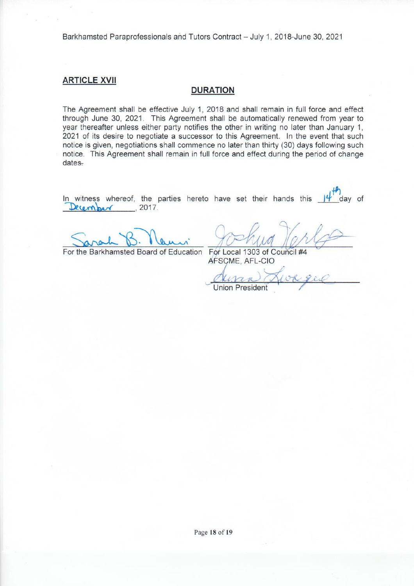Barkhamsted Paraprofessionals and Tutors Contract - July 1, 2018-June 30, 2021

# **ARTICLE XVII**

# **DURATION**

The Agreement shall be effective July 1, 2018 and shall remain in full force and effect through June 30, 2021. This Agreement shall be automatically renewed from year to year thereafter unless either party notifies the other in writing no later than January 1. 2021 of its desire to negotiate a successor to this Agreement. In the event that such notice is given, negotiations shall commence no later than thirty (30) days following such notice. This Agreement shall remain in full force and effect during the period of change  $dates-$ 

In witness whereof, the parties hereto have set their hands this day of December , 2017.

For the Barkhamsted Board of Education For Local 1303 of Council #4

AFSCME, AFL-CIO